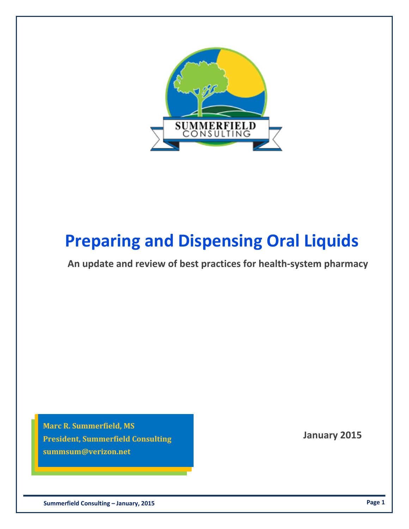

# **Preparing and Dispensing Oral Liquids**

**An update and review of best practices for health‐system pharmacy**

 **January 2015 President, Summerfield Consulting Marc R. Summerfield, MS summsum@verizon.net**

 **Summerfield Consulting – January, 2015 Page 1**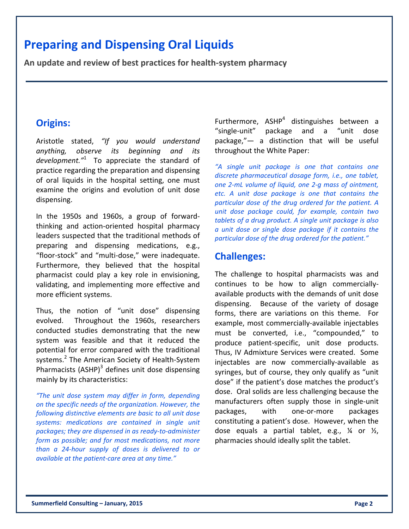## **Preparing and Dispensing Oral Liquids**

**An update and review of best practices for health‐system pharmacy**

#### **Origins:**

Aristotle stated, *"If you would understand anything, observe its beginning and its development."*<sup>1</sup> To appreciate the standard of practice regarding the preparation and dispensing of oral liquids in the hospital setting, one must examine the origins and evolution of unit dose dispensing.

In the 1950s and 1960s, a group of forward‐ thinking and action‐oriented hospital pharmacy leaders suspected that the traditional methods of preparing and dispensing medications, e.g., "floor‐stock" and "multi‐dose," were inadequate. Furthermore, they believed that the hospital pharmacist could play a key role in envisioning, validating, and implementing more effective and more efficient systems.

Thus, the notion of "unit dose" dispensing evolved. Throughout the 1960s, researchers conducted studies demonstrating that the new system was feasible and that it reduced the potential for error compared with the traditional systems.<sup>2</sup> The American Society of Health-System Pharmacists  $(ASHP)^3$  defines unit dose dispensing mainly by its characteristics:

*"The unit dose system may differ in form, depending on the specific needs of the organization. However, the following distinctive elements are basic to all unit dose systems: medications are contained in single unit packages; they are dispensed in as ready‐to‐administer form as possible; and for most medications, not more than a 24‐hour supply of doses is delivered to or available at the patient‐care area at any time."*

Furthermore,  $ASHP<sup>4</sup>$  distinguishes between a "single‐unit" package and a "unit dose package,"— a distinction that will be useful throughout the White Paper:

*"A single unit package is one that contains one discrete pharmaceutical dosage form, i.e., one tablet, one 2‐mL volume of liquid, one 2‐g mass of ointment, etc. A unit dose package is one that contains the particular dose of the drug ordered for the patient. A unit dose package could, for example, contain two tablets of a drug product. A single unit package is also a unit dose or single dose package if it contains the particular dose of the drug ordered for the patient."*

#### **Challenges:**

The challenge to hospital pharmacists was and continues to be how to align commercially‐ available products with the demands of unit dose dispensing. Because of the variety of dosage forms, there are variations on this theme. For example, most commercially‐available injectables must be converted, i.e., "compounded," to produce patient‐specific, unit dose products. Thus, IV Admixture Services were created. Some injectables are now commercially‐available as syringes, but of course, they only qualify as "unit dose" if the patient's dose matches the product's dose. Oral solids are less challenging because the manufacturers often supply those in single‐unit packages, with one‐or‐more packages constituting a patient's dose. However, when the dose equals a partial tablet, e.g.,  $\frac{1}{4}$  or  $\frac{1}{2}$ , pharmacies should ideally split the tablet.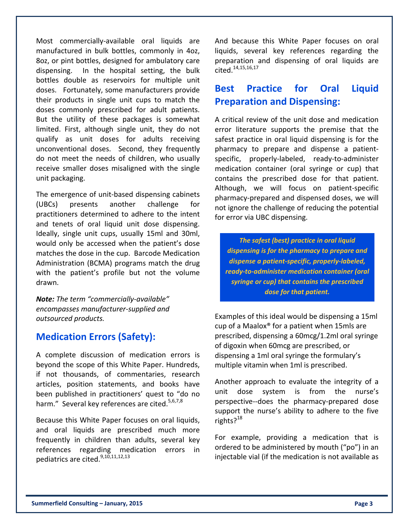Most commercially-available oral liquids are manufactured in bulk bottles, commonly in 4oz, 8oz, or pint bottles, designed for ambulatory care dispensing. In the hospital setting, the bulk bottles double as reservoirs for multiple unit doses. Fortunately, some manufacturers provide their products in single unit cups to match the doses commonly prescribed for adult patients. But the utility of these packages is somewhat limited. First, although single unit, they do not qualify as unit doses for adults receiving unconventional doses. Second, they frequently do not meet the needs of children, who usually receive smaller doses misaligned with the single unit packaging.

The emergence of unit‐based dispensing cabinets (UBCs) presents another challenge for practitioners determined to adhere to the intent and tenets of oral liquid unit dose dispensing. Ideally, single unit cups, usually 15ml and 30ml, would only be accessed when the patient's dose matches the dose in the cup. Barcode Medication Administration (BCMA) programs match the drug with the patient's profile but not the volume drawn.

*Note: The term "commercially‐available" encompasses manufacturer‐supplied and outsourced products.*

#### **Medication Errors (Safety):**

A complete discussion of medication errors is beyond the scope of this White Paper. Hundreds, if not thousands, of commentaries, research articles, position statements, and books have been published in practitioners' quest to "do no harm." Several key references are cited.<sup>5,6,7,8</sup>

Because this White Paper focuses on oral liquids, and oral liquids are prescribed much more frequently in children than adults, several key references regarding medication errors in pediatrics are cited.<sup>9,10,11,12,13</sup>

And because this White Paper focuses on oral liquids, several key references regarding the preparation and dispensing of oral liquids are cited.14,15,16,17

#### **Best Practice for Oral Liquid Preparation and Dispensing:**

A critical review of the unit dose and medication error literature supports the premise that the safest practice in oral liquid dispensing is for the pharmacy to prepare and dispense a patient‐ specific, properly‐labeled, ready‐to‐administer medication container (oral syringe or cup) that contains the prescribed dose for that patient. Although, we will focus on patient‐specific pharmacy‐prepared and dispensed doses, we will not ignore the challenge of reducing the potential for error via UBC dispensing.

*The safest (best) practice in oral liquid dispensing is for the pharmacy to prepare and dispense a patient‐specific, properly‐labeled, ready‐to‐administer medication container (oral syringe or cup) that contains the prescribed dose for that patient.*

Examples of this ideal would be dispensing a 15ml cup of a Maalox® for a patient when 15mls are prescribed, dispensing a 60mcg/1.2ml oral syringe of digoxin when 60mcg are prescribed, or dispensing a 1ml oral syringe the formulary's multiple vitamin when 1ml is prescribed.

Another approach to evaluate the integrity of a unit dose system is from the nurse's perspective‐‐does the pharmacy‐prepared dose support the nurse's ability to adhere to the five rights? $18$ 

For example, providing a medication that is ordered to be administered by mouth ("po") in an injectable vial (if the medication is not available as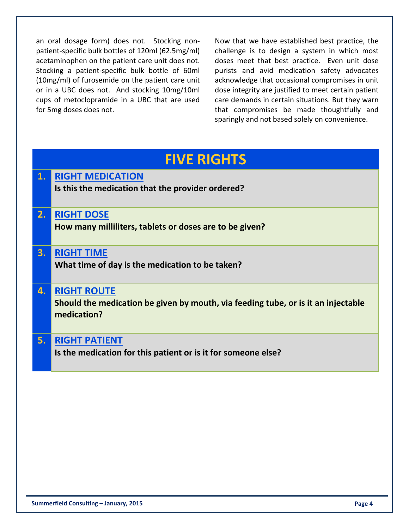an oral dosage form) does not. Stocking nonpatient‐specific bulk bottles of 120ml (62.5mg/ml) acetaminophen on the patient care unit does not. Stocking a patient‐specific bulk bottle of 60ml (10mg/ml) of furosemide on the patient care unit or in a UBC does not. And stocking 10mg/10ml cups of metoclopramide in a UBC that are used for 5mg doses does not.

Now that we have established best practice, the challenge is to design a system in which most doses meet that best practice. Even unit dose purists and avid medication safety advocates acknowledge that occasional compromises in unit dose integrity are justified to meet certain patient care demands in certain situations. But they warn that compromises be made thoughtfully and sparingly and not based solely on convenience.

## **FIVE RIGHTS 1. RIGHT MEDICATION Is this the medication that the provider ordered? 2. RIGHT DOSE How many milliliters, tablets or doses are to be given? 3. RIGHT TIME What time of day is the medication to be taken? 4. RIGHT ROUTE Should the medication be given by mouth, via feeding tube, or is it an injectable medication? 5. RIGHT PATIENT Is the medication for this patient or is it for someone else?**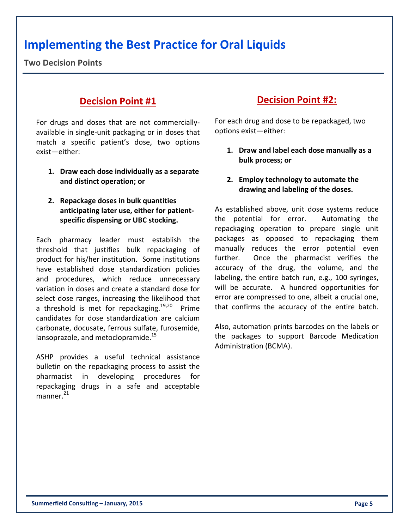## **Implementing the Best Practice for Oral Liquids**

**Two Decision Points**

#### **Decision Point #1**

For drugs and doses that are not commercially‐ available in single‐unit packaging or in doses that match a specific patient's dose, two options exist—either:

- **1. Draw each dose individually as a separate and distinct operation; or**
- **2. Repackage doses in bulk quantities anticipating later use, either for patient‐ specific dispensing or UBC stocking.**

Each pharmacy leader must establish the threshold that justifies bulk repackaging of product for his/her institution. Some institutions have established dose standardization policies and procedures, which reduce unnecessary variation in doses and create a standard dose for select dose ranges, increasing the likelihood that a threshold is met for repackaging.<sup>19,20</sup> Prime candidates for dose standardization are calcium carbonate, docusate, ferrous sulfate, furosemide, lansoprazole, and metoclopramide.<sup>15</sup>

ASHP provides a useful technical assistance bulletin on the repackaging process to assist the pharmacist in developing procedures for repackaging drugs in a safe and acceptable manner. $^{21}$ 

#### **Decision Point #2:**

For each drug and dose to be repackaged, two options exist—either:

- **1. Draw and label each dose manually as a bulk process; or**
- **2. Employ technology to automate the drawing and labeling of the doses.**

As established above, unit dose systems reduce the potential for error. Automating the repackaging operation to prepare single unit packages as opposed to repackaging them manually reduces the error potential even further. Once the pharmacist verifies the accuracy of the drug, the volume, and the labeling, the entire batch run, e.g., 100 syringes, will be accurate. A hundred opportunities for error are compressed to one, albeit a crucial one, that confirms the accuracy of the entire batch.

Also, automation prints barcodes on the labels or the packages to support Barcode Medication Administration (BCMA).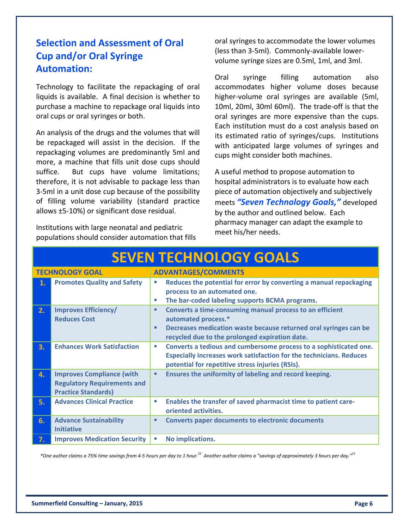#### **Selection and Assessment of Oral Cup and/or Oral Syringe Automation:**

Technology to facilitate the repackaging of oral liquids is available. A final decision is whether to purchase a machine to repackage oral liquids into oral cups or oral syringes or both.

An analysis of the drugs and the volumes that will be repackaged will assist in the decision. If the repackaging volumes are predominantly 5ml and more, a machine that fills unit dose cups should suffice. But cups have volume limitations; therefore, it is not advisable to package less than 3‐5ml in a unit dose cup because of the possibility of filling volume variability (standard practice allows ±5‐10%) or significant dose residual.

Institutions with large neonatal and pediatric populations should consider automation that fills oral syringes to accommodate the lower volumes (less than 3‐5ml). Commonly‐available lower‐ volume syringe sizes are 0.5ml, 1ml, and 3ml.

Oral syringe filling automation also accommodates higher volume doses because higher‐volume oral syringes are available (5ml, 10ml, 20ml, 30ml 60ml). The trade‐off is that the oral syringes are more expensive than the cups. Each institution must do a cost analysis based on its estimated ratio of syringes/cups. Institutions with anticipated large volumes of syringes and cups might consider both machines.

A useful method to propose automation to hospital administrators is to evaluate how each piece of automation objectively and subjectively meets *"Seven Technology Goals,"* developed by the author and outlined below. Each pharmacy manager can adapt the example to meet his/her needs.

| <u>JEVEIN I EUNIVULUU I UUALJ</u> |                                                                                                      |                                                                                                                                                                                                                              |  |  |
|-----------------------------------|------------------------------------------------------------------------------------------------------|------------------------------------------------------------------------------------------------------------------------------------------------------------------------------------------------------------------------------|--|--|
| <b>TECHNOLOGY GOAL</b>            |                                                                                                      | <b>ADVANTAGES/COMMENTS</b>                                                                                                                                                                                                   |  |  |
| 1.                                | <b>Promotes Quality and Safety</b>                                                                   | Reduces the potential for error by converting a manual repackaging<br>ш<br>process to an automated one.<br>The bar-coded labeling supports BCMA programs.<br>Ш                                                               |  |  |
| 2.                                | <b>Improves Efficiency/</b><br><b>Reduces Cost</b>                                                   | Converts a time-consuming manual process to an efficient<br>٠<br>automated process.*<br>Decreases medication waste because returned oral syringes can be<br>$\blacksquare$<br>recycled due to the prolonged expiration date. |  |  |
| 3.                                | <b>Enhances Work Satisfaction</b>                                                                    | Converts a tedious and cumbersome process to a sophisticated one.<br>T.<br><b>Especially increases work satisfaction for the technicians. Reduces</b><br>potential for repetitive stress injuries (RSIs).                    |  |  |
| 4.                                | <b>Improves Compliance (with</b><br><b>Regulatory Requirements and</b><br><b>Practice Standards)</b> | Ensures the uniformity of labeling and record keeping.<br>٠                                                                                                                                                                  |  |  |
| 5.                                | <b>Advances Clinical Practice</b>                                                                    | Enables the transfer of saved pharmacist time to patient care-<br>T.<br>oriented activities.                                                                                                                                 |  |  |
| 6.                                | <b>Advance Sustainability</b><br><b>Initiative</b>                                                   | <b>Converts paper documents to electronic documents</b><br>٠                                                                                                                                                                 |  |  |
| 7.                                | <b>Improves Medication Security</b>                                                                  | No implications.<br>ш                                                                                                                                                                                                        |  |  |

**SEVEN TECHNOLOGY GOALS**

\*One author claims a 75% time savings from 4-5 hours per day to 1 hour.<sup>22</sup> Another author claims a "savings of approximately 3 hours per day."<sup>23</sup>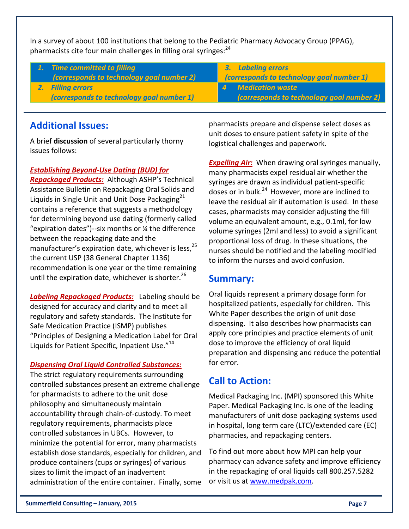In a survey of about 100 institutions that belong to the Pediatric Pharmacy Advocacy Group (PPAG), pharmacists cite four main challenges in filling oral syringes:<sup>24</sup>

| 1. Time committed to filling<br>(corresponds to technology goal number 2) | <b>3.</b> Labeling errors<br>(corresponds to technology goal number 1) |
|---------------------------------------------------------------------------|------------------------------------------------------------------------|
| 2. Filling errors                                                         | 4 Medication waste                                                     |
| (corresponds to technology goal number 1)                                 | (corresponds to technology goal number 2)                              |
|                                                                           |                                                                        |

#### **Additional Issues:**

A brief **discussion** of several particularly thorny issues follows:

#### *Establishing Beyond‐Use Dating (BUD) for*

*Repackaged Products:* Although ASHP's Technical Assistance Bulletin on Repackaging Oral Solids and Liquids in Single Unit and Unit Dose Packaging $^{21}$ contains a reference that suggests a methodology for determining beyond use dating (formerly called "expiration dates")‐‐six months or ¼ the difference between the repackaging date and the manufacturer's expiration date, whichever is less,  $25$ the current USP (38 General Chapter 1136) recommendation is one year or the time remaining until the expiration date, whichever is shorter. $^{26}$ 

*Labeling Repackaged Products:* Labeling should be designed for accuracy and clarity and to meet all regulatory and safety standards. The Institute for Safe Medication Practice (ISMP) publishes "Principles of Designing a Medication Label for Oral Liquids for Patient Specific, Inpatient Use."<sup>14</sup>

#### *Dispensing Oral Liquid Controlled Substances:*

The strict regulatory requirements surrounding controlled substances present an extreme challenge for pharmacists to adhere to the unit dose philosophy and simultaneously maintain accountability through chain‐of‐custody. To meet regulatory requirements, pharmacists place controlled substances in UBCs. However, to minimize the potential for error, many pharmacists establish dose standards, especially for children, and produce containers (cups or syringes) of various sizes to limit the impact of an inadvertent administration of the entire container. Finally, some pharmacists prepare and dispense select doses as unit doses to ensure patient safety in spite of the logistical challenges and paperwork.

**Expelling Air:** When drawing oral syringes manually, many pharmacists expel residual air whether the syringes are drawn as individual patient‐specific doses or in bulk.<sup>24</sup> However, more are inclined to leave the residual air if automation is used. In these cases, pharmacists may consider adjusting the fill volume an equivalent amount, e.g., 0.1ml, for low volume syringes (2ml and less) to avoid a significant proportional loss of drug. In these situations, the nurses should be notified and the labeling modified to inform the nurses and avoid confusion.

#### **Summary:**

Oral liquids represent a primary dosage form for hospitalized patients, especially for children. This White Paper describes the origin of unit dose dispensing. It also describes how pharmacists can apply core principles and practice elements of unit dose to improve the efficiency of oral liquid preparation and dispensing and reduce the potential for error.

#### **Call to Action:**

Medical Packaging Inc. (MPI) sponsored this White Paper. Medical Packaging Inc. is one of the leading manufacturers of unit dose packaging systems used in hospital, long term care (LTC)/extended care (EC) pharmacies, and repackaging centers.

To find out more about how MPI can help your pharmacy can advance safety and improve efficiency in the repackaging of oral liquids call 800.257.5282 or visit us at www.medpak.com.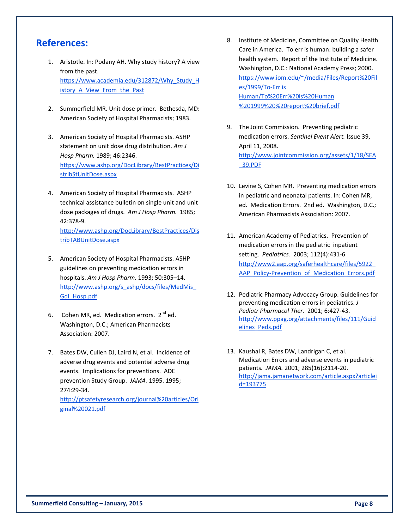#### **References:**

- 1. Aristotle. In: Podany AH. Why study history? A view from the past. https://www.academia.edu/312872/Why\_Study\_H istory\_A\_View\_From\_the\_Past
- 2. Summerfield MR. Unit dose primer. Bethesda, MD: American Society of Hospital Pharmacists; 1983.
- 3. American Society of Hospital Pharmacists. ASHP statement on unit dose drug distribution. *Am J Hosp Pharm.* 1989; 46:2346. https://www.ashp.org/DocLibrary/BestPractices/Di stribStUnitDose.aspx
- 4. American Society of Hospital Pharmacists. ASHP technical assistance bulletin on single unit and unit dose packages of drugs. *Am J Hosp Pharm.* 1985; 42:378‐9. http://www.ashp.org/DocLibrary/BestPractices/Dis tribTABUnitDose.aspx
- 5. American Society of Hospital Pharmacists. ASHP guidelines on preventing medication errors in hospitals. *Am J Hosp Pharm.* 1993; 50:305–14. http://www.ashp.org/s\_ashp/docs/files/MedMis Gdl\_Hosp.pdf
- 6. Cohen MR, ed. Medication errors.  $2^{nd}$  ed. Washington, D.C.; American Pharmacists Association: 2007.
- 7. Bates DW, Cullen DJ, Laird N, et al. Incidence of adverse drug events and potential adverse drug events. Implications for preventions. ADE prevention Study Group. *JAMA.* 1995. 1995; 274:29‐34. http://ptsafetyresearch.org/journal%20articles/Ori ginal%20021.pdf
- 8. Institute of Medicine, Committee on Quality Health Care in America. To err is human: building a safer health system. Report of the Institute of Medicine. Washington, D.C.: National Academy Press; 2000. https://www.iom.edu/~/media/Files/Report%20Fil es/1999/To‐Err is Human/To%20Err%20is%20Human %201999%20%20report%20brief.pdf
- 9. The Joint Commission. Preventing pediatric medication errors. *Sentinel Event Alert.* Issue 39, April 11, 2008. http://www.jointcommission.org/assets/1/18/SEA \_39.PDF
- 10. Levine S, Cohen MR. Preventing medication errors in pediatric and neonatal patients. In: Cohen MR, ed. Medication Errors. 2nd ed. Washington, D.C.; American Pharmacists Association: 2007.
- 11. American Academy of Pediatrics. Prevention of medication errors in the pediatric inpatient setting. *Pediatrics.* 2003; 112(4):431‐6 http://www2.aap.org/saferhealthcare/files/5922\_ AAP\_Policy-Prevention\_of\_Medication\_Errors.pdf
- 12. Pediatric Pharmacy Advocacy Group. Guidelines for preventing medication errors in pediatrics. *J Pediatr Pharmacol Ther.* 2001; 6:427‐43. http://www.ppag.org/attachments/files/111/Guid elines\_Peds.pdf
- 13. Kaushal R, Bates DW, Landrigan C, et al. Medication Errors and adverse events in pediatric patients*. JAMA.* 2001; 285(16):2114‐20. http://jama.jamanetwork.com/article.aspx?articlei d=193775